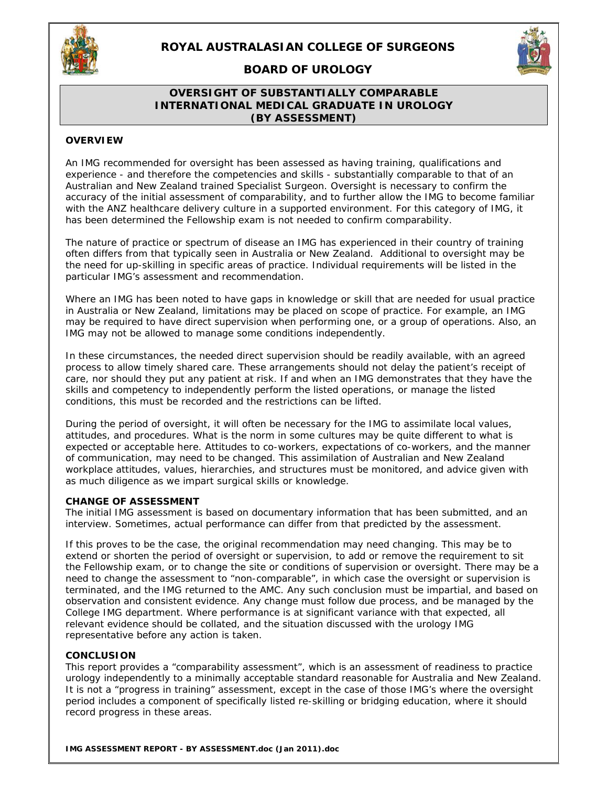

# **ROYAL AUSTRALASIAN COLLEGE OF SURGEONS**

**BOARD OF UROLOGY** 

## **OVERSIGHT OF SUBSTANTIALLY COMPARABLE INTERNATIONAL MEDICAL GRADUATE IN UROLOGY (BY ASSESSMENT)**

#### **OVERVIEW**

An IMG recommended for oversight has been assessed as having training, qualifications and experience - and therefore the competencies and skills - substantially comparable to that of an Australian and New Zealand trained Specialist Surgeon. Oversight is necessary to confirm the accuracy of the initial assessment of comparability, and to further allow the IMG to become familiar with the ANZ healthcare delivery culture in a supported environment. For this category of IMG, it has been determined the Fellowship exam is not needed to confirm comparability.

The nature of practice or spectrum of disease an IMG has experienced in their country of training often differs from that typically seen in Australia or New Zealand. Additional to oversight may be the need for up-skilling in specific areas of practice. Individual requirements will be listed in the particular IMG's assessment and recommendation.

Where an IMG has been noted to have gaps in knowledge or skill that are needed for usual practice in Australia or New Zealand, limitations may be placed on scope of practice. For example, an IMG may be required to have direct supervision when performing one, or a group of operations. Also, an IMG may not be allowed to manage some conditions independently.

In these circumstances, the needed direct supervision should be readily available, with an agreed process to allow timely shared care. These arrangements should not delay the patient's receipt of care, nor should they put any patient at risk. If and when an IMG demonstrates that they have the skills and competency to independently perform the listed operations, or manage the listed conditions, this must be recorded and the restrictions can be lifted.

During the period of oversight, it will often be necessary for the IMG to assimilate local values, attitudes, and procedures. What is the norm in some cultures may be quite different to what is expected or acceptable here. Attitudes to co-workers, expectations of co-workers, and the manner of communication, may need to be changed. This assimilation of Australian and New Zealand workplace attitudes, values, hierarchies, and structures must be monitored, and advice given with as much diligence as we impart surgical skills or knowledge.

### **CHANGE OF ASSESSMENT**

The initial IMG assessment is based on documentary information that has been submitted, and an interview. Sometimes, actual performance can differ from that predicted by the assessment.

If this proves to be the case, the original recommendation may need changing. This may be to extend or shorten the period of oversight or supervision, to add or remove the requirement to sit the Fellowship exam, or to change the site or conditions of supervision or oversight. There may be a need to change the assessment to "non-comparable", in which case the oversight or supervision is terminated, and the IMG returned to the AMC. Any such conclusion must be impartial, and based on observation and consistent evidence. Any change must follow due process, and be managed by the College IMG department. Where performance is at significant variance with that expected, all relevant evidence should be collated, and the situation discussed with the urology IMG representative before any action is taken.

### **CONCLUSION**

This report provides a "comparability assessment", which is an assessment of readiness to practice urology independently to a minimally acceptable standard reasonable for Australia and New Zealand. It is not a "progress in training" assessment, except in the case of those IMG's where the oversight period includes a component of specifically listed re-skilling or bridging education, where it should record progress in these areas.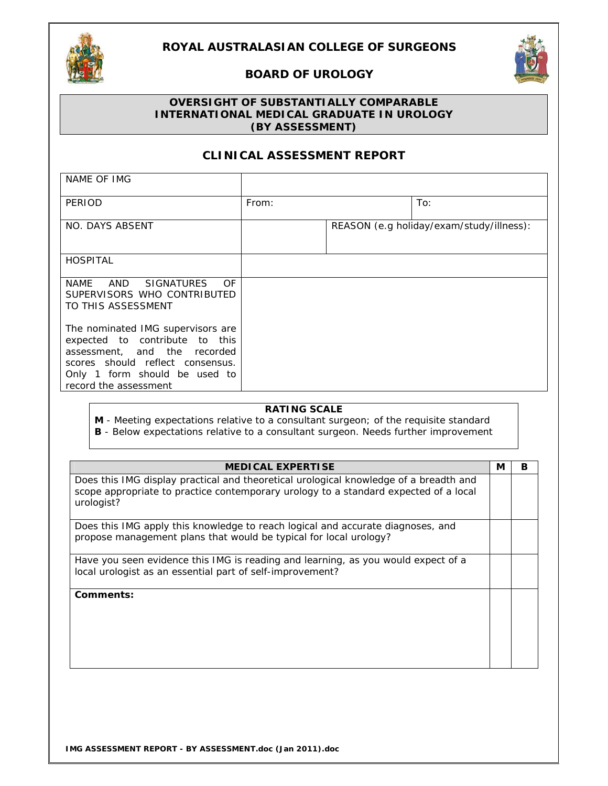

## **ROYAL AUSTRALASIAN COLLEGE OF SURGEONS**

## **BOARD OF UROLOGY**



## **OVERSIGHT OF SUBSTANTIALLY COMPARABLE INTERNATIONAL MEDICAL GRADUATE IN UROLOGY (BY ASSESSMENT)**

# **CLINICAL ASSESSMENT REPORT**

| NAME OF IMG                                                                                                                                                                                       |       |                                          |
|---------------------------------------------------------------------------------------------------------------------------------------------------------------------------------------------------|-------|------------------------------------------|
| PERIOD                                                                                                                                                                                            | From: | To:                                      |
| NO. DAYS ABSENT                                                                                                                                                                                   |       | REASON (e.g holiday/exam/study/illness): |
| <b>HOSPITAL</b>                                                                                                                                                                                   |       |                                          |
| NAME AND SIGNATURES<br>OF<br>SUPERVISORS WHO CONTRIBUTED<br>TO THIS ASSESSMENT                                                                                                                    |       |                                          |
| The nominated IMG supervisors are<br>expected to contribute to this<br>assessment, and the recorded<br>scores should reflect consensus.<br>Only 1 form should be used to<br>record the assessment |       |                                          |

## **RATING SCALE**

**M** - Meeting expectations relative to a consultant surgeon; of the requisite standard

| <b>B</b> - Below expectations relative to a consultant surgeon. Needs further improvement |  |
|-------------------------------------------------------------------------------------------|--|
|-------------------------------------------------------------------------------------------|--|

| <b>MEDICAL EXPERTISE</b>                                                                                                                                                                    | М | в |
|---------------------------------------------------------------------------------------------------------------------------------------------------------------------------------------------|---|---|
| Does this IMG display practical and theoretical urological knowledge of a breadth and<br>scope appropriate to practice contemporary urology to a standard expected of a local<br>urologist? |   |   |
| Does this IMG apply this knowledge to reach logical and accurate diagnoses, and<br>propose management plans that would be typical for local urology?                                        |   |   |
| Have you seen evidence this IMG is reading and learning, as you would expect of a<br>local urologist as an essential part of self-improvement?                                              |   |   |
| Comments:                                                                                                                                                                                   |   |   |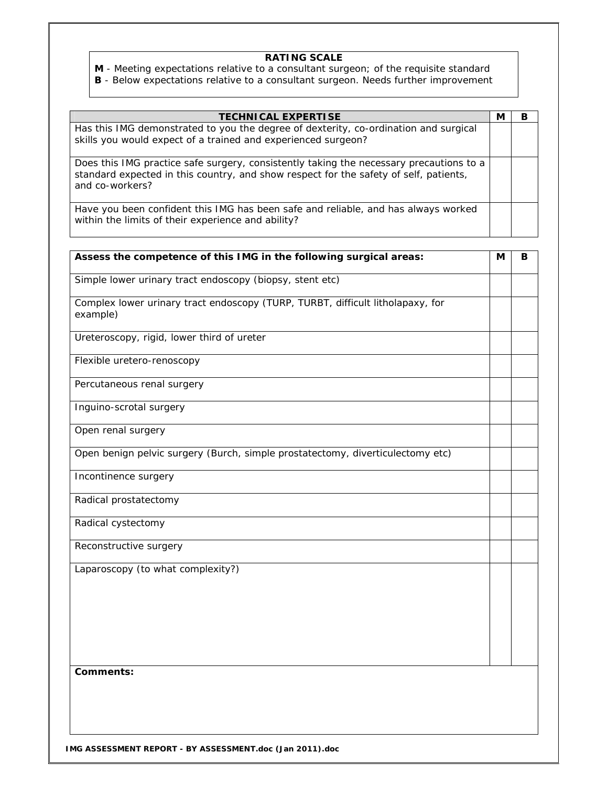**M** - Meeting expectations relative to a consultant surgeon; of the requisite standard **B** - Below expectations relative to a consultant surgeon. Needs further improvement

| <b>TECHNICAL EXPERTISE</b>                                                                                                                                                                          | М | в |
|-----------------------------------------------------------------------------------------------------------------------------------------------------------------------------------------------------|---|---|
| Has this IMG demonstrated to you the degree of dexterity, co-ordination and surgical<br>skills you would expect of a trained and experienced surgeon?                                               |   |   |
| Does this IMG practice safe surgery, consistently taking the necessary precautions to a<br>standard expected in this country, and show respect for the safety of self, patients,<br>and co-workers? |   |   |
| Have you been confident this IMG has been safe and reliable, and has always worked<br>within the limits of their experience and ability?                                                            |   |   |
|                                                                                                                                                                                                     |   | в |
| Assess the competence of this IMG in the following surgical areas:                                                                                                                                  | М |   |
| Simple lower urinary tract endoscopy (biopsy, stent etc)                                                                                                                                            |   |   |
| Complex lower urinary tract endoscopy (TURP, TURBT, difficult litholapaxy, for<br>example)                                                                                                          |   |   |
| Ureteroscopy, rigid, lower third of ureter                                                                                                                                                          |   |   |
| Flexible uretero-renoscopy                                                                                                                                                                          |   |   |
| Percutaneous renal surgery                                                                                                                                                                          |   |   |
| Inguino-scrotal surgery                                                                                                                                                                             |   |   |
| Open renal surgery                                                                                                                                                                                  |   |   |
| Open benign pelvic surgery (Burch, simple prostatectomy, diverticulectomy etc)                                                                                                                      |   |   |

Incontinence surgery

Radical prostatectomy

Radical cystectomy

Reconstructive surgery

Laparoscopy (to what complexity?)

**Comments:** 

**IMG ASSESSMENT REPORT - BY ASSESSMENT.doc (Jan 2011).doc**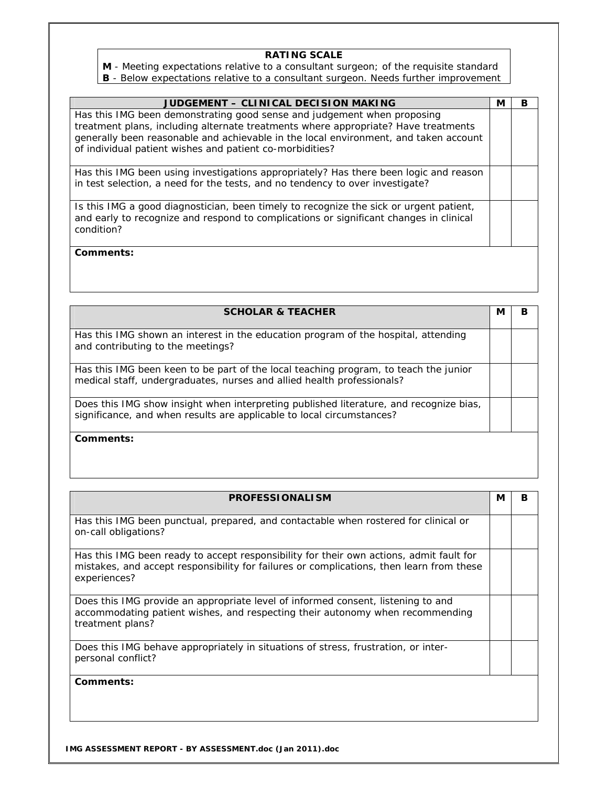**M** - Meeting expectations relative to a consultant surgeon; of the requisite standard

**B** - Below expectations relative to a consultant surgeon. Needs further improvement

| JUDGEMENT - CLINICAL DECISION MAKING                                                                                                                                                                                                                  | М | в |
|-------------------------------------------------------------------------------------------------------------------------------------------------------------------------------------------------------------------------------------------------------|---|---|
| Has this IMG been demonstrating good sense and judgement when proposing<br>treatment plans, including alternate treatments where appropriate? Have treatments<br>generally been reasonable and achievable in the local environment, and taken account |   |   |
| of individual patient wishes and patient co-morbidities?                                                                                                                                                                                              |   |   |
| Has this IMG been using investigations appropriately? Has there been logic and reason<br>in test selection, a need for the tests, and no tendency to over investigate?                                                                                |   |   |
| Is this IMG a good diagnostician, been timely to recognize the sick or urgent patient,<br>and early to recognize and respond to complications or significant changes in clinical<br>condition?                                                        |   |   |
| Comments:                                                                                                                                                                                                                                             |   |   |

| <b>SCHOLAR &amp; TEACHER</b>                                                                                                                                    | М | В |
|-----------------------------------------------------------------------------------------------------------------------------------------------------------------|---|---|
| Has this IMG shown an interest in the education program of the hospital, attending<br>and contributing to the meetings?                                         |   |   |
| Has this IMG been keen to be part of the local teaching program, to teach the junior<br>medical staff, undergraduates, nurses and allied health professionals?  |   |   |
| Does this IMG show insight when interpreting published literature, and recognize bias,<br>significance, and when results are applicable to local circumstances? |   |   |
| Comments:                                                                                                                                                       |   |   |

| <b>PROFESSIONALISM</b>                                                                                                                                                                              | М | в |
|-----------------------------------------------------------------------------------------------------------------------------------------------------------------------------------------------------|---|---|
| Has this IMG been punctual, prepared, and contactable when rostered for clinical or<br>on-call obligations?                                                                                         |   |   |
| Has this IMG been ready to accept responsibility for their own actions, admit fault for<br>mistakes, and accept responsibility for failures or complications, then learn from these<br>experiences? |   |   |
| Does this IMG provide an appropriate level of informed consent, listening to and<br>accommodating patient wishes, and respecting their autonomy when recommending<br>treatment plans?               |   |   |
| Does this IMG behave appropriately in situations of stress, frustration, or inter-<br>personal conflict?                                                                                            |   |   |
| Comments:                                                                                                                                                                                           |   |   |

**IMG ASSESSMENT REPORT - BY ASSESSMENT.doc (Jan 2011).doc**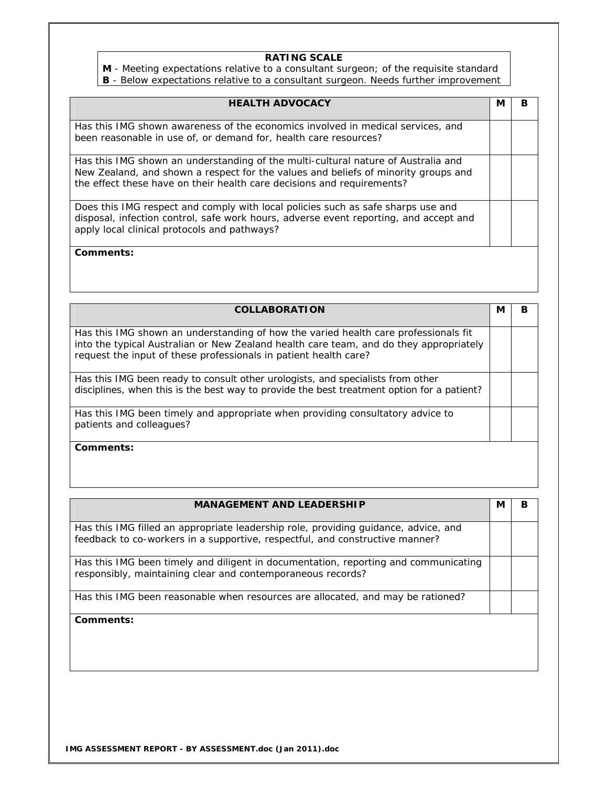**M** - Meeting expectations relative to a consultant surgeon; of the requisite standard **B** - Below expectations relative to a consultant surgeon. Needs further improvement

| <b>HEALTH ADVOCACY</b>                                                                                                                                                                                                                            | M | в |
|---------------------------------------------------------------------------------------------------------------------------------------------------------------------------------------------------------------------------------------------------|---|---|
| Has this IMG shown awareness of the economics involved in medical services, and<br>been reasonable in use of, or demand for, health care resources?                                                                                               |   |   |
| Has this IMG shown an understanding of the multi-cultural nature of Australia and<br>New Zealand, and shown a respect for the values and beliefs of minority groups and<br>the effect these have on their health care decisions and requirements? |   |   |
| Does this IMG respect and comply with local policies such as safe sharps use and<br>disposal, infection control, safe work hours, adverse event reporting, and accept and<br>apply local clinical protocols and pathways?                         |   |   |
| Comments:                                                                                                                                                                                                                                         |   |   |

| <b>COLLABORATION</b>                                                                                                                                                                                                                              | N | в |
|---------------------------------------------------------------------------------------------------------------------------------------------------------------------------------------------------------------------------------------------------|---|---|
| Has this IMG shown an understanding of how the varied health care professionals fit<br>into the typical Australian or New Zealand health care team, and do they appropriately<br>request the input of these professionals in patient health care? |   |   |
| Has this IMG been ready to consult other urologists, and specialists from other<br>disciplines, when this is the best way to provide the best treatment option for a patient?                                                                     |   |   |
| Has this IMG been timely and appropriate when providing consultatory advice to<br>patients and colleagues?                                                                                                                                        |   |   |
| Comments:                                                                                                                                                                                                                                         |   |   |

| <b>MANAGEMENT AND LEADERSHIP</b>                                                                                                                                    | М | в |
|---------------------------------------------------------------------------------------------------------------------------------------------------------------------|---|---|
| Has this IMG filled an appropriate leadership role, providing guidance, advice, and<br>feedback to co-workers in a supportive, respectful, and constructive manner? |   |   |
| Has this IMG been timely and diligent in documentation, reporting and communicating<br>responsibly, maintaining clear and contemporaneous records?                  |   |   |
| Has this IMG been reasonable when resources are allocated, and may be rationed?                                                                                     |   |   |
| Comments:                                                                                                                                                           |   |   |